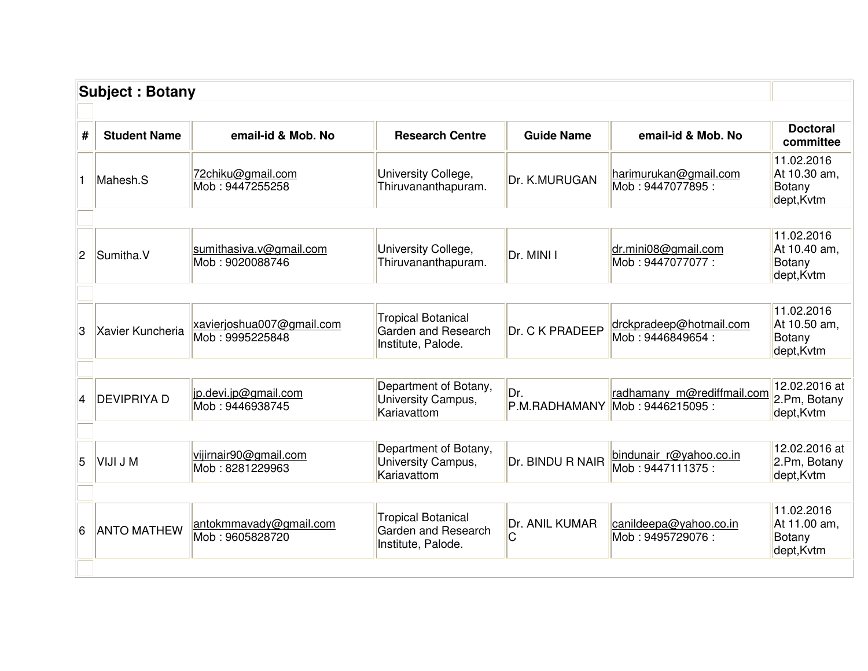|                | <b>Subject: Botany</b> |                                              |                                                                        |                      |                                                |                                                           |
|----------------|------------------------|----------------------------------------------|------------------------------------------------------------------------|----------------------|------------------------------------------------|-----------------------------------------------------------|
| #              | <b>Student Name</b>    | email-id & Mob. No                           | <b>Research Centre</b>                                                 | <b>Guide Name</b>    | email-id & Mob. No                             | <b>Doctoral</b><br>committee                              |
|                | Mahesh.S               | 72chiku@gmail.com<br>Mob: 9447255258         | University College,<br>Thiruvananthapuram.                             | Dr. K.MURUGAN        | harimurukan@gmail.com<br>Mob: 9447077895:      | 11.02.2016<br>At 10.30 am,<br>Botany<br>dept, Kvtm        |
| $\overline{2}$ | Sumitha.V              | sumithasiva.v@gmail.com<br>Mob: 9020088746   | University College,<br>Thiruvananthapuram.                             | Dr. MINI I           | dr.mini08@gmail.com<br>Mob: 9447077077:        | 11.02.2016<br>At 10.40 am,<br>Botany<br>dept, Kvtm        |
| 3              | Xavier Kuncheria       | xavierjoshua007@gmail.com<br>Mob: 9995225848 | <b>Tropical Botanical</b><br>Garden and Research<br>Institute, Palode. | Dr. C K PRADEEP      | drckpradeep@hotmail.com<br>Mob: 9446849654:    | 11.02.2016<br>At 10.50 am,<br><b>Botany</b><br>dept, Kvtm |
| 4              | <b>DEVIPRIYA D</b>     | jp.devi.jp@gmail.com<br>Mob: 9446938745      | Department of Botany,<br>University Campus,<br>Kariavattom             | Dr.<br>P.M.RADHAMANY | radhamany m@rediffmail.com<br>Mob: 9446215095: | 12.02.2016 at<br>2.Pm, Botany<br>dept, Kvtm               |
| 5              | VIJI J M               | vijirnair90@gmail.com<br>Mob: 8281229963     | Department of Botany,<br>University Campus,<br>Kariavattom             | Dr. BINDU R NAIR     | bindunair r@yahoo.co.in<br>Mob: 9447111375:    | 12.02.2016 at<br>2.Pm, Botany<br>dept, Kvtm               |
| 6              | <b>ANTO MATHEW</b>     | antokmmavady@gmail.com<br>Mob: 9605828720    | <b>Tropical Botanical</b><br>Garden and Research<br>Institute, Palode. | Dr. ANIL KUMAR<br>C  | canildeepa@yahoo.co.in<br>Mob: 9495729076:     | 11.02.2016<br>At 11.00 am,<br>Botany<br>dept, Kvtm        |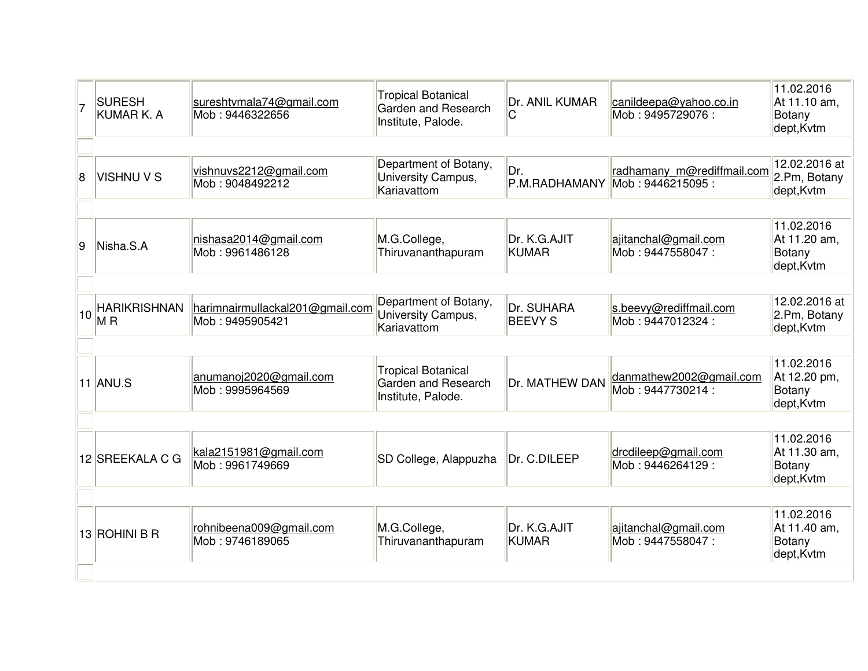| <b>SURESH</b><br><b>KUMAR K. A</b>    | sureshtvmala74@gmail.com<br>Mob: 9446322656          | <b>Tropical Botanical</b><br>Garden and Research<br>Institute, Palode. | Dr. ANIL KUMAR<br>С          | canildeepa@yahoo.co.in<br>Mob: 9495729076:     | 11.02.2016<br>At 11.10 am,<br><b>Botany</b><br>dept, Kvtm |
|---------------------------------------|------------------------------------------------------|------------------------------------------------------------------------|------------------------------|------------------------------------------------|-----------------------------------------------------------|
| <b>VISHNU V S</b>                     | vishnuvs2212@gmail.com<br>Mob: 9048492212            | Department of Botany,<br>University Campus,<br>Kariavattom             | Dr.                          | radhamany m@rediffmail.com<br>Mob: 9446215095: | 12.02.2016 at<br>2.Pm, Botany<br>dept, Kvtm               |
| Nisha.S.A                             | nishasa2014@gmail.com<br>Mob: 9961486128             | M.G.College,<br>Thiruvananthapuram                                     | Dr. K.G.AJIT<br><b>KUMAR</b> | ajitanchal@gmail.com<br>Mob: 9447558047:       | 11.02.2016<br>At 11.20 am,<br>Botany<br>dept, Kvtm        |
| <b>HARIKRISHNAN</b><br>M <sub>R</sub> | harimnairmullackal201@gmail.com<br>Mob: 9495905421   | Department of Botany,<br>University Campus,<br>Kariavattom             | Dr. SUHARA<br><b>BEEVY S</b> | s.beevy@rediffmail.com<br>Mob: 9447012324:     | 12.02.2016 at<br>2.Pm, Botany<br>dept, Kvtm               |
|                                       | anumanoj2020@gmail.com<br>Mob: 9995964569            | <b>Tropical Botanical</b><br>Garden and Research<br>Institute, Palode. | Dr. MATHEW DAN               | danmathew2002@gmail.com<br>Mob: 9447730214:    | 11.02.2016<br>At 12.20 pm,<br>Botany<br>dept, Kvtm        |
|                                       | kala2151981@gmail.com<br>Mob: 9961749669             | SD College, Alappuzha                                                  | Dr. C.DILEEP                 | drcdileep@gmail.com<br>Mob: 9446264129:        | 11.02.2016<br>At 11.30 am,<br>Botany<br>dept, Kvtm        |
|                                       | rohnibeena009@gmail.com<br>Mob: 9746189065           | M.G.College,<br>Thiruvananthapuram                                     | Dr. K.G.AJIT<br><b>KUMAR</b> | ajitanchal@gmail.com<br>Mob: 9447558047:       | 11.02.2016<br>At 11.40 am,<br>Botany<br>dept, Kvtm        |
|                                       | 10<br>$11$ ANU.S<br>12 SREEKALA C G<br>13 ROHINI B R |                                                                        |                              |                                                | P.M.RADHAMANY                                             |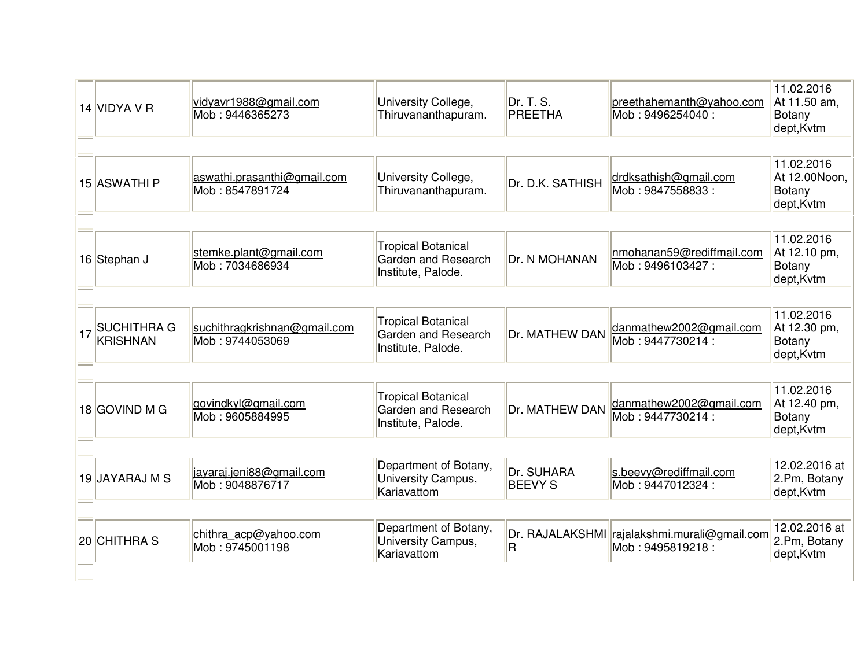| 14 VIDYA V R                          | vidyavr1988@gmail.com<br>Mob: 9446365273        | University College,<br>Thiruvananthapuram.                             | Dr. T. S.<br>PREETHA         | preethahemanth@yahoo.com<br>Mob: 9496254040:                     | 11.02.2016<br>At 11.50 am,<br>Botany<br>dept, Kvtm  |
|---------------------------------------|-------------------------------------------------|------------------------------------------------------------------------|------------------------------|------------------------------------------------------------------|-----------------------------------------------------|
| 15 ASWATHI P                          | aswathi.prasanthi@gmail.com<br>Mob: 8547891724  | University College,<br>Thiruvananthapuram.                             | Dr. D.K. SATHISH             | drdksathish@gmail.com<br>Mob: 9847558833:                        | 11.02.2016<br>At 12.00Noon,<br>Botany<br>dept, Kvtm |
| 16 Stephan J                          | stemke.plant@gmail.com<br>Mob: 7034686934       | <b>Tropical Botanical</b><br>Garden and Research<br>Institute, Palode. | Dr. N MOHANAN                | nmohanan59@rediffmail.com<br>Mob: 9496103427:                    | 11.02.2016<br>At 12.10 pm,<br>Botany<br>dept, Kvtm  |
| <b>SUCHITHRA G</b><br><b>KRISHNAN</b> | suchithragkrishnan@gmail.com<br>Mob: 9744053069 | <b>Tropical Botanical</b><br>Garden and Research<br>Institute, Palode. | Dr. MATHEW DAN               | danmathew2002@gmail.com<br>Mob: 9447730214:                      | 11.02.2016<br>At 12.30 pm,<br>Botany<br>dept, Kvtm  |
| 18 GOVIND M G                         | govindkyl@gmail.com<br>Mob: 9605884995          | <b>Tropical Botanical</b><br>Garden and Research<br>Institute, Palode. | Dr. MATHEW DAN               | danmathew2002@gmail.com<br>Mob: 9447730214 :                     | 11.02.2016<br>At 12.40 pm,<br>Botany<br>dept, Kvtm  |
| 19 JAYARAJ M S                        | jayaraj.jeni88@gmail.com<br>Mob: 9048876717     | Department of Botany,<br>University Campus,<br>Kariavattom             | Dr. SUHARA<br><b>BEEVY S</b> | s.beevy@rediffmail.com<br>Mob: 9447012324:                       | 12.02.2016 at<br>2.Pm, Botany<br>dept, Kvtm         |
| 20 CHITHRA S                          | chithra acp@yahoo.com<br>Mob: 9745001198        | Department of Botany,<br>University Campus,<br>Kariavattom             | $\overline{\mathsf{R}}$      | Dr. RAJALAKSHMI rajalakshmi.murali@gmail.com<br>Mob: 9495819218: | 12.02.2016 at<br>2.Pm, Botany<br>dept, Kvtm         |